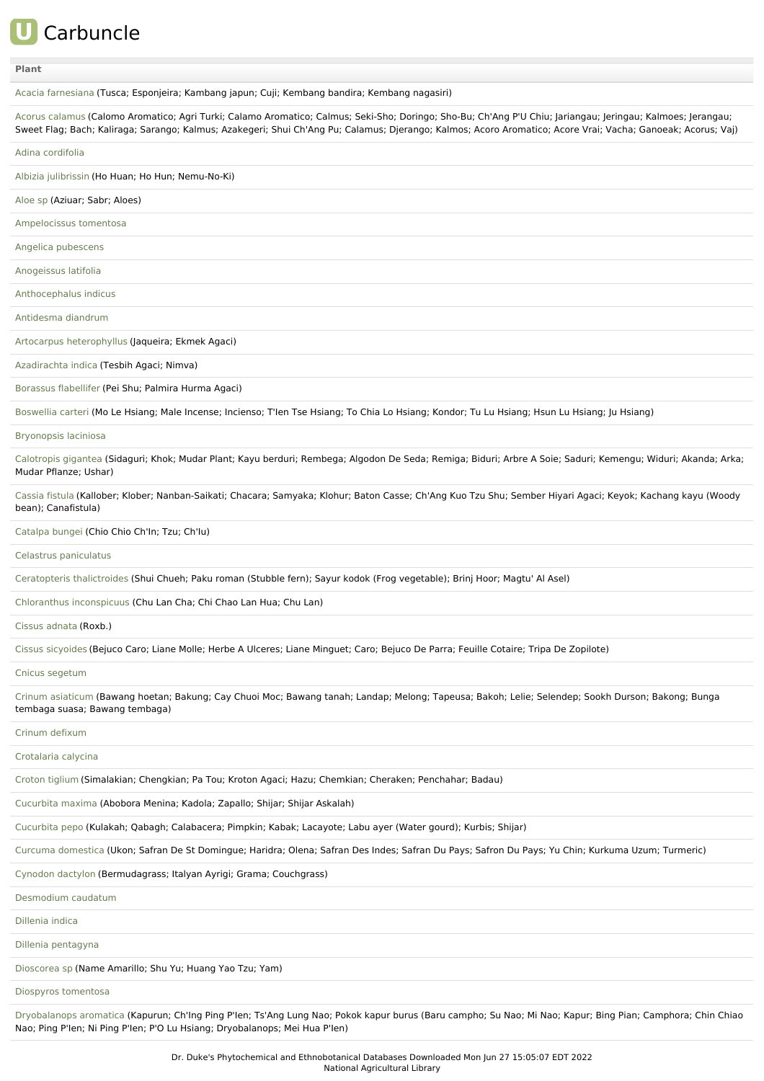# **U** Carbuncle

## **[Plant](file:///phytochem/ethnoActivity/ethnoActivityListAll?max=&offset=0&count=&filter=&sort=plant&order=asc)**

Acacia [farnesiana](file:///phytochem/ethnoPlants/show/552) (Tusca; Esponjeira; Kambang japun; Cuji; Kembang bandira; Kembang nagasiri)

Acorus [calamus](file:///phytochem/ethnoPlants/show/133) (Calomo Aromatico; Agri Turki; Calamo Aromatico; Calmus; Seki-Sho; Doringo; Sho-Bu; Ch'Ang P'U Chiu; Jariangau; Jeringau; Kalmoes; Jerangau; Sweet Flag; Bach; Kaliraga; Sarango; Kalmus; Azakegeri; Shui Ch'Ang Pu; Calamus; Djerango; Kalmos; Acoro Aromatico; Acore Vrai; Vacha; Ganoeak; Acorus; Vaj)

Adina [cordifolia](file:///phytochem/ethnoPlants/show/2151)

Albizia [julibrissin](file:///phytochem/ethnoPlants/show/4500) (Ho Huan; Ho Hun; Nemu-No-Ki)

[Aloe](file:///phytochem/ethnoPlants/show/3741) sp (Aziuar; Sabr; Aloes)

[Ampelocissus](file:///phytochem/ethnoPlants/show/1588) tomentosa

Angelica [pubescens](file:///phytochem/ethnoPlants/show/281)

[Anogeissus](file:///phytochem/ethnoPlants/show/4097) latifolia

[Anthocephalus](file:///phytochem/ethnoPlants/show/1069) indicus

[Antidesma](file:///phytochem/ethnoPlants/show/1034) diandrum

Artocarpus [heterophyllus](file:///phytochem/ethnoPlants/show/2928) (Jaqueira; Ekmek Agaci)

[Azadirachta](file:///phytochem/ethnoPlants/show/1230) indica (Tesbih Agaci; Nimva)

[Borassus](file:///phytochem/ethnoPlants/show/482) flabellifer (Pei Shu; Palmira Hurma Agaci)

[Boswellia](file:///phytochem/ethnoPlants/show/1238) carteri (Mo Le Hsiang; Male Incense; Incienso; T'len Tse Hsiang; To Chia Lo Hsiang; Kondor; Tu Lu Hsiang; Hsun Lu Hsiang; Iu Hsiang)

## [Bryonopsis](file:///phytochem/ethnoPlants/show/1036) laciniosa

[Calotropis](file:///phytochem/ethnoPlants/show/833) gigantea (Sidaguri; Khok; Mudar Plant; Kayu berduri; Rembega; Algodon De Seda; Remiga; Biduri; Arbre A Soie; Saduri; Kemengu; Widuri; Akanda; Arka; Mudar Pflanze; Ushar)

[Cassia](file:///phytochem/ethnoPlants/show/2382) fistula (Kallober; Klober; Nanban-Saikati; Chacara; Samyaka; Klohur; Baton Casse; Ch'Ang Kuo Tzu Shu; Sember Hiyari Agaci; Keyok; Kachang kayu (Woody bean); Canafistula)

[Catalpa](file:///phytochem/ethnoPlants/show/294) bungei (Chio Chio Ch'In; Tzu; Ch'Iu)

Celastrus [paniculatus](file:///phytochem/ethnoPlants/show/1518)

[Ceratopteris](file:///phytochem/ethnoPlants/show/9197) thalictroides (Shui Chueh; Paku roman (Stubble fern); Sayur kodok (Frog vegetable); Brinj Hoor; Magtu' Al Asel)

Chloranthus [inconspicuus](file:///phytochem/ethnoPlants/show/3760) (Chu Lan Cha; Chi Chao Lan Hua; Chu Lan)

Cissus [adnata](file:///phytochem/ethnoPlants/show/3455) (Roxb.)

Cissus [sicyoides](file:///phytochem/ethnoPlants/show/1621) (Bejuco Caro; Liane Molle; Herbe A Ulceres; Liane Minguet; Caro; Bejuco De Parra; Feuille Cotaire; Tripa De Zopilote)

### Cnicus [segetum](file:///phytochem/ethnoPlants/show/1143)

Crinum [asiaticum](file:///phytochem/ethnoPlants/show/1632) (Bawang hoetan; Bakung; Cay Chuoi Moc; Bawang tanah; Landap; Melong; Tapeusa; Bakoh; Lelie; Selendep; Sookh Durson; Bakong; Bunga tembaga suasa; Bawang tembaga)

Crinum [defixum](file:///phytochem/ethnoPlants/show/4007)

[Crotalaria](file:///phytochem/ethnoPlants/show/1633) calycina

[Croton](file:///phytochem/ethnoPlants/show/261) tiglium (Simalakian; Chengkian; Pa Tou; Kroton Agaci; Hazu; Chemkian; Cheraken; Penchahar; Badau)

[Cucurbita](file:///phytochem/ethnoPlants/show/3765) maxima (Abobora Menina; Kadola; Zapallo; Shijar; Shijar Askalah)

[Cucurbita](file:///phytochem/ethnoPlants/show/1879) pepo (Kulakah; Qabagh; Calabacera; Pimpkin; Kabak; Lacayote; Labu ayer (Water gourd); Kurbis; Shijar)

Curcuma [domestica](file:///phytochem/ethnoPlants/show/884) (Ukon; Safran De St Domingue; Haridra; Olena; Safran Des Indes; Safran Du Pays; Safron Du Pays; Yu Chin; Kurkuma Uzum; Turmeric)

[Cynodon](file:///phytochem/ethnoPlants/show/629) dactylon (Bermudagrass; Italyan Ayrigi; Grama; Couchgrass)

[Desmodium](file:///phytochem/ethnoPlants/show/4503) caudatum

[Dillenia](file:///phytochem/ethnoPlants/show/4504) indica

Dillenia [pentagyna](file:///phytochem/ethnoPlants/show/4505)

[Dioscorea](file:///phytochem/ethnoPlants/show/4012) sp (Name Amarillo; Shu Yu; Huang Yao Tzu; Yam)

Diospyros [tomentosa](file:///phytochem/ethnoPlants/show/2365)

[Dryobalanops](file:///phytochem/ethnoPlants/show/2120) aromatica (Kapurun; Ch'Ing Ping P'Ien; Ts'Ang Lung Nao; Pokok kapur burus (Baru campho; Su Nao; Mi Nao; Kapur; Bing Pian; Camphora; Chin Chiao Nao; Ping P'Ien; Ni Ping P'Ien; P'O Lu Hsiang; Dryobalanops; Mei Hua P'Ien)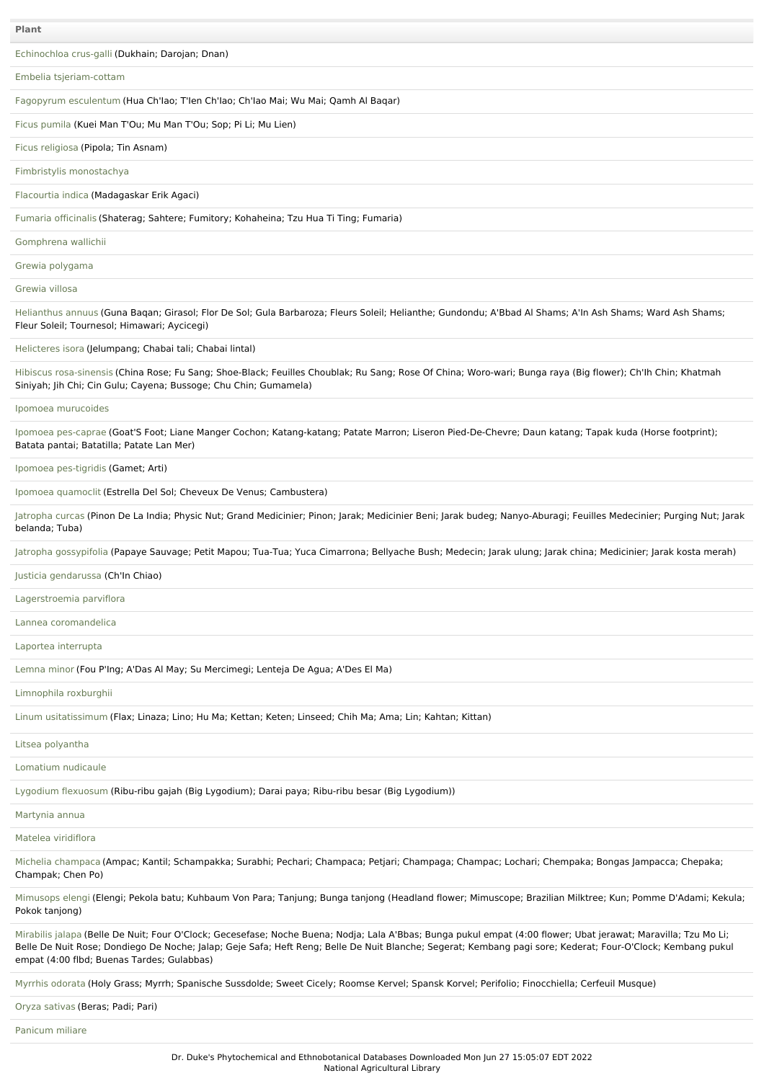[Echinochloa](file:///phytochem/ethnoPlants/show/4506) crus-galli (Dukhain; Darojan; Dnan)

Embelia [tsjeriam-cottam](file:///phytochem/ethnoPlants/show/4507)

Fagopyrum [esculentum](file:///phytochem/ethnoPlants/show/4508) (Hua Ch'Iao; T'Ien Ch'Iao; Ch'Iao Mai; Wu Mai; Qamh Al Baqar)

Ficus [pumila](file:///phytochem/ethnoPlants/show/1673) (Kuei Man T'Ou; Mu Man T'Ou; Sop; Pi Li; Mu Lien)

Ficus [religiosa](file:///phytochem/ethnoPlants/show/1271) (Pipola; Tin Asnam)

Fimbristylis [monostachya](file:///phytochem/ethnoPlants/show/903)

[Flacourtia](file:///phytochem/ethnoPlants/show/4509) indica (Madagaskar Erik Agaci)

Fumaria [officinalis](file:///phytochem/ethnoPlants/show/322) (Shaterag; Sahtere; Fumitory; Kohaheina; Tzu Hua Ti Ting; Fumaria)

[Gomphrena](file:///phytochem/ethnoPlants/show/4501) wallichii

Grewia [polygama](file:///phytochem/ethnoPlants/show/3642)

[Grewia](file:///phytochem/ethnoPlants/show/4511) villosa

[Helianthus](file:///phytochem/ethnoPlants/show/1071) annuus (Guna Baqan; Girasol; Flor De Sol; Gula Barbaroza; Fleurs Soleil; Helianthe; Gundondu; A'Bbad Al Shams; A'In Ash Shams; Ward Ash Shams; Fleur Soleil; Tournesol; Himawari; Aycicegi)

[Helicteres](file:///phytochem/ethnoPlants/show/919) isora (Jelumpang; Chabai tali; Chabai lintal)

Hibiscus [rosa-sinensis](file:///phytochem/ethnoPlants/show/190) (China Rose; Fu Sang; Shoe-Black; Feuilles Choublak; Ru Sang; Rose Of China; Woro-wari; Bunga raya (Big flower); Ch'Ih Chin; Khatmah Siniyah; Jih Chi; Cin Gulu; Cayena; Bussoge; Chu Chin; Gumamela)

Ipomoea [murucoides](file:///phytochem/ethnoPlants/show/1700)

Ipomoea [pes-caprae](file:///phytochem/ethnoPlants/show/3068) (Goat'S Foot; Liane Manger Cochon; Katang-katang; Patate Marron; Liseron Pied-De-Chevre; Daun katang; Tapak kuda (Horse footprint); Batata pantai; Batatilla; Patate Lan Mer)

Ipomoea [pes-tigridis](file:///phytochem/ethnoPlants/show/1960) (Gamet; Arti)

Ipomoea [quamoclit](file:///phytochem/ethnoPlants/show/1701) (Estrella Del Sol; Cheveux De Venus; Cambustera)

[Jatropha](file:///phytochem/ethnoPlants/show/193) curcas (Pinon De La India; Physic Nut; Grand Medicinier; Pinon; Jarak; Medicinier Beni; Jarak budeg; Nanyo-Aburagi; Feuilles Medecinier; Purging Nut; Jarak belanda; Tuba)

Jatropha [gossypifolia](file:///phytochem/ethnoPlants/show/933) (Papaye Sauvage; Petit Mapou; Tua-Tua; Yuca Cimarrona; Bellyache Bush; Medecin; Jarak ulung; Jarak china; Medicinier; Jarak kosta merah)

Justicia [gendarussa](file:///phytochem/ethnoPlants/show/516) (Ch'In Chiao)

[Lagerstroemia](file:///phytochem/ethnoPlants/show/3488) parviflora

Lannea [coromandelica](file:///phytochem/ethnoPlants/show/1963)

Laportea [interrupta](file:///phytochem/ethnoPlants/show/4510)

[Lemna](file:///phytochem/ethnoPlants/show/1301) minor (Fou P'Ing; A'Das Al May; Su Mercimegi; Lenteja De Agua; A'Des El Ma)

[Limnophila](file:///phytochem/ethnoPlants/show/4019) roxburghii

Linum [usitatissimum](file:///phytochem/ethnoPlants/show/1714) (Flax; Linaza; Lino; Hu Ma; Kettan; Keten; Linseed; Chih Ma; Ama; Lin; Kahtan; Kittan)

## Litsea [polyantha](file:///phytochem/ethnoPlants/show/942)

[Lomatium](file:///phytochem/ethnoPlants/show/706) nudicaule

Lygodium [flexuosum](file:///phytochem/ethnoPlants/show/4512) (Ribu-ribu gajah (Big Lygodium); Darai paya; Ribu-ribu besar (Big Lygodium))

[Martynia](file:///phytochem/ethnoPlants/show/1048) annua

Matelea [viridiflora](file:///phytochem/ethnoPlants/show/3793)

Michelia [champaca](file:///phytochem/ethnoPlants/show/1310) (Ampac; Kantil; Schampakka; Surabhi; Pechari; Champaca; Petjari; Champaga; Champac; Lochari; Chempaka; Bongas Jampacca; Chepaka; Champak; Chen Po)

[Mimusops](file:///phytochem/ethnoPlants/show/3108) elengi (Elengi; Pekola batu; Kuhbaum Von Para; Tanjung; Bunga tanjong (Headland flower; Mimuscope; Brazilian Milktree; Kun; Pomme D'Adami; Kekula; Pokok tanjong)

[Mirabilis](file:///phytochem/ethnoPlants/show/347) jalapa (Belle De Nuit; Four O'Clock; Gecesefase; Noche Buena; Nodja; Lala A'Bbas; Bunga pukul empat (4:00 flower; Ubat jerawat; Maravilla; Tzu Mo Li; Belle De Nuit Rose; Dondiego De Noche; Jalap; Geje Safa; Heft Reng; Belle De Nuit Blanche; Segerat; Kembang pagi sore; Kederat; Four-O'Clock; Kembang pukul empat (4:00 flbd; Buenas Tardes; Gulabbas)

[Myrrhis](file:///phytochem/ethnoPlants/show/80) odorata (Holy Grass; Myrrh; Spanische Sussdolde; Sweet Cicely; Roomse Kervel; Spansk Korvel; Perifolio; Finocchiella; Cerfeuil Musque)

Oryza [sativas](file:///phytochem/ethnoPlants/show/6022) (Beras; Padi; Pari)

[Panicum](file:///phytochem/ethnoPlants/show/4513) miliare